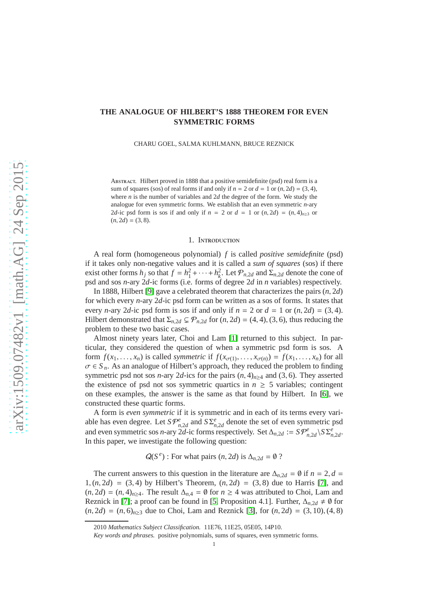# **THE ANALOGUE OF HILBERT'S 1888 THEOREM FOR EVEN SYMMETRIC FORMS**

CHARU GOEL, SALMA KUHLMANN, BRUCE REZNICK

Abstract. Hilbert proved in 1888 that a positive semidefinite (psd) real form is a sum of squares (sos) of real forms if and only if  $n = 2$  or  $d = 1$  or  $(n, 2d) = (3, 4)$ , where *n* is the number of variables and 2*d* the degree of the form. We study the analogue for even symmetric forms. We establish that an even symmetric *n*-ary 2*d*-ic psd form is sos if and only if  $n = 2$  or  $d = 1$  or  $(n, 2d) = (n, 4)_{n \geq 3}$  or  $(n, 2d) = (3, 8).$ 

### 1. Introduction

A real form (homogeneous polynomial) *f* is called *positive semidefinite* (psd) if it takes only non-negative values and it is called a *sum of squares* (sos) if there exist other forms *h<sub>j</sub>* so that  $f = h_1^2 + \cdots + h_k^2$ . Let  $\mathcal{P}_{n,2d}$  and  $\Sigma_{n,2d}$  denote the cone of psd and sos *n*-ary 2*d*-ic forms (i.e. forms of degree 2*d* in *n* variables) respectively.

In 1888, Hilbert [\[9\]](#page-10-0) gave a celebrated theorem that characterizes the pairs (*n*, 2*d*) for which every *n*-ary 2*d*-ic psd form can be written as a sos of forms. It states that every *n*-ary 2*d*-ic psd form is sos if and only if  $n = 2$  or  $d = 1$  or  $(n, 2d) = (3, 4)$ . Hilbert demonstrated that  $\Sigma_{n,2d} \subsetneq \mathcal{P}_{n,2d}$  for  $(n,2d) = (4,4), (3,6)$ , thus reducing the problem to these two basic cases.

Almost ninety years later, Choi and Lam [\[1\]](#page-10-1) returned to this subject. In particular, they considered the question of when a symmetric psd form is sos. A form  $f(x_1, \ldots, x_n)$  is called *symmetric* if  $f(x_{\sigma(1)}, \ldots, x_{\sigma(n)}) = f(x_1, \ldots, x_n)$  for all  $\sigma \in S_n$ . As an analogue of Hilbert's approach, they reduced the problem to finding symmetric psd not sos *n*-ary 2*d*-ics for the pairs  $(n, 4)_{n \geq 4}$  and (3, 6). They asserted the existence of psd not sos symmetric quartics in  $n \geq 5$  variables; contingent on these examples, the answer is the same as that found by Hilbert. In [\[6\]](#page-10-2), we constructed these quartic forms.

A form is *even symmetric* if it is symmetric and in each of its terms every variable has even degree. Let  $SP_{n,2d}^e$  and  $S \Sigma_{n,2d}^e$  denote the set of even symmetric psd and even symmetric sos *n*-ary 2*d*-ic forms respectively. Set  $\Delta_{n,2d} := S \mathcal{P}^e_{n,2d} \setminus S \Sigma^e_{n,2d}$ . In this paper, we investigate the following question:

 $Q(S<sup>e</sup>)$ : For what pairs  $(n, 2d)$  is  $\Delta_{n, 2d} = \emptyset$  ?

The current answers to this question in the literature are  $\Delta_{n,2d} = \emptyset$  if  $n = 2, d =$  $1, (n, 2d) = (3, 4)$  by Hilbert's Theorem,  $(n, 2d) = (3, 8)$  due to Harris [\[7\]](#page-10-3), and  $(n, 2d) = (n, 4)_{n \ge 4}$ . The result  $\Delta_{n,4} = \emptyset$  for  $n \ge 4$  was attributed to Choi, Lam and Reznick in [\[7\]](#page-10-3); a proof can be found in [\[5,](#page-10-4) Proposition 4.1]. Further,  $\Delta_{n,2d} \neq \emptyset$  for  $(n, 2d) = (n, 6)_{n>3}$  due to Choi, Lam and Reznick [\[3\]](#page-10-5), for  $(n, 2d) = (3, 10)$ ,  $(4, 8)$ 

<sup>2010</sup> *Mathematics Subject Classification.* 11E76, 11E25, 05E05, 14P10.

*Key words and phrases.* positive polynomials, sums of squares, even symmetric forms.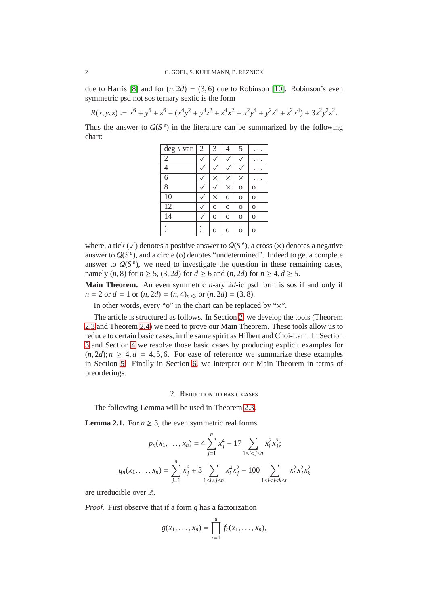due to Harris [\[8\]](#page-10-6) and for  $(n, 2d) = (3, 6)$  due to Robinson [\[10\]](#page-10-7). Robinson's even symmetric psd not sos ternary sextic is the form

 $R(x, y, z) := x^6 + y^6 + z^6 - (x^4y^2 + y^4z^2 + z^4x^2 + x^2y^4 + y^2z^4 + z^2x^4) + 3x^2y^2z^2$ .

Thus the answer to  $Q(S^e)$  in the literature can be summarized by the following chart:

| $\deg \setminus \text{var}$ 2 | 3        | 4              | 5              |                |
|-------------------------------|----------|----------------|----------------|----------------|
| $\overline{2}$                |          |                |                |                |
|                               |          |                |                |                |
| 6                             | $\times$ | $\times$       | $\times$       |                |
| 8                             |          | $\times$       | $\overline{O}$ | $\Omega$       |
| 10                            | $\times$ | $\overline{O}$ | O              | $\overline{O}$ |
| $\overline{12}$               | $\Omega$ | $\overline{O}$ | O              | $\overline{O}$ |
| 14                            | $\Omega$ | $\overline{O}$ | O              | $\overline{O}$ |
|                               | റ        | $\Omega$       | $\Omega$       | O              |

where, a tick  $(\checkmark)$  denotes a positive answer to  $Q(S^e)$ , a cross  $(\checkmark)$  denotes a negative answer to  $Q(S^e)$ , and a circle (o) denotes "undetermined". Indeed to get a complete answer to  $Q(S^e)$ , we need to investigate the question in these remaining cases, namely (*n*, 8) for *n* ≥ 5, (3, 2*d*) for *d* ≥ 6 and (*n*, 2*d*) for *n* ≥ 4, *d* ≥ 5.

**Main Theorem.** An even symmetric *n*-ary 2*d*-ic psd form is sos if and only if *n* = 2 or *d* = 1 or  $(n, 2d) = (n, 4)_{n \ge 3}$  or  $(n, 2d) = (3, 8)$ .

In other words, every "o" in the chart can be replaced by " $\times$ ".

The article is structured as follows. In Section [2,](#page-1-0) we develop the tools (Theorem [2.3](#page-2-0) and Theorem [2.4\)](#page-3-0) we need to prove our Main Theorem. These tools allow us to reduce to certain basic cases, in the same spirit as Hilbert and Choi-Lam. In Section [3](#page-4-0) and Section [4](#page-6-0) we resolve those basic cases by producing explicit examples for  $(n, 2d)$ ;  $n \geq 4$ ,  $d = 4, 5, 6$ . For ease of reference we summarize these examples in Section [5.](#page-8-0) Finally in Section [6,](#page-9-0) we interpret our Main Theorem in terms of preorderings.

### 2. Reduction to basic cases

<span id="page-1-0"></span>The following Lemma will be used in Theorem [2.3.](#page-2-0)

<span id="page-1-1"></span>**Lemma 2.1.** For  $n \geq 3$ , the even symmetric real forms

$$
p_n(x_1, \dots, x_n) = 4 \sum_{j=1}^n x_j^4 - 17 \sum_{1 \le i < j \le n} x_i^2 x_j^2;
$$
\n
$$
q_n(x_1, \dots, x_n) = \sum_{j=1}^n x_j^6 + 3 \sum_{1 \le i < j \le n} x_i^4 x_j^2 - 100 \sum_{1 \le i < j < k \le n} x_i^2 x_j^2 x_k^2
$$

are irreducible over R.

*Proof.* First observe that if a form *g* has a factorization

$$
g(x_1,...,x_n) = \prod_{r=1}^u f_r(x_1,...,x_n),
$$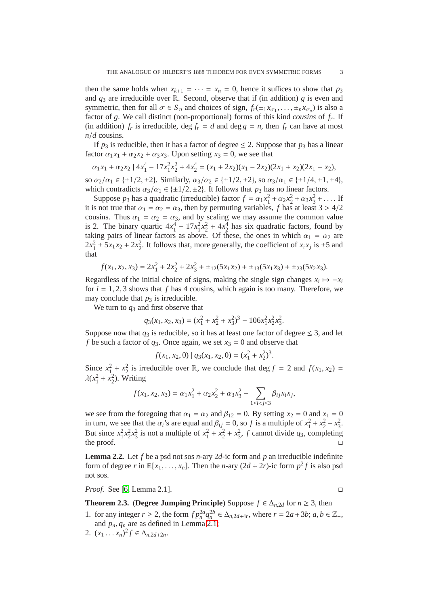then the same holds when  $x_{k+1} = \cdots = x_n = 0$ , hence it suffices to show that  $p_3$ and  $q_3$  are irreducible over R. Second, observe that if (in addition) *g* is even and symmetric, then for all  $\sigma \in S_n$  and choices of sign,  $f_r(\pm_1 x_{\sigma_1}, \dots, \pm_n x_{\sigma_n})$  is also a factor of *g*. We call distinct (non-proportional) forms of this kind *cousins* of *f<sup>r</sup>* . If (in addition)  $f_r$  is irreducible, deg  $f_r = d$  and deg  $g = n$ , then  $f_r$  can have at most *n*/*d* cousins.

If  $p_3$  is reducible, then it has a factor of degree  $\leq$  2. Suppose that  $p_3$  has a linear factor  $\alpha_1 x_1 + \alpha_2 x_2 + \alpha_3 x_3$ . Upon setting  $x_3 = 0$ , we see that

$$
\alpha_1 x_1 + \alpha_2 x_2 + 4x_1^4 - 17x_1^2 x_2^2 + 4x_2^4 = (x_1 + 2x_2)(x_1 - 2x_2)(2x_1 + x_2)(2x_1 - x_2),
$$

so  $\alpha_2/\alpha_1 \in \{\pm 1/2, \pm 2\}$ . Similarly,  $\alpha_3/\alpha_2 \in \{\pm 1/2, \pm 2\}$ , so  $\alpha_3/\alpha_1 \in \{\pm 1/4, \pm 1, \pm 4\}$ , which contradicts  $\alpha_3/\alpha_1 \in \{\pm 1/2, \pm 2\}$ . It follows that  $p_3$  has no linear factors.

Suppose  $p_3$  has a quadratic (irreducible) factor  $f = \alpha_1 x_1^2 + \alpha_2 x_2^2 + \alpha_3 x_3^2 + \dots$  If it is not true that  $\alpha_1 = \alpha_2 = \alpha_3$ , then by permuting variables, f has at least  $3 > 4/2$ cousins. Thus  $\alpha_1 = \alpha_2 = \alpha_3$ , and by scaling we may assume the common value is 2. The binary quartic  $4x_1^4 - 17x_1^2x_2^2 + 4x_2^4$  has six quadratic factors, found by taking pairs of linear factors as above. Of these, the ones in which  $\alpha_1 = \alpha_2$  are  $2x_1^2 \pm 5x_1x_2 + 2x_2^2$ . It follows that, more generally, the coefficient of  $x_ix_j$  is  $\pm 5$  and that

$$
f(x_1, x_2, x_3) = 2x_1^2 + 2x_2^2 + 2x_3^2 + \pm_{12}(5x_1x_2) + \pm_{13}(5x_1x_3) + \pm_{23}(5x_2x_3).
$$

Regardless of the initial choice of signs, making the single sign changes  $x_i \mapsto -x_i$ for  $i = 1, 2, 3$  shows that  $f$  has 4 cousins, which again is too many. Therefore, we may conclude that  $p_3$  is irreducible.

We turn to *q*<sup>3</sup> and first observe that

$$
q_3(x_1, x_2, x_3) = (x_1^2 + x_2^2 + x_3^2)^3 - 106x_1^2x_2^2x_3^2.
$$

Suppose now that  $q_3$  is reducible, so it has at least one factor of degree  $\leq 3$ , and let *f* be such a factor of  $q_3$ . Once again, we set  $x_3 = 0$  and observe that

$$
f(x_1, x_2, 0) | q_3(x_1, x_2, 0) = (x_1^2 + x_2^2)^3.
$$

Since  $x_1^2 + x_2^2$  is irreducible over R, we conclude that deg  $f = 2$  and  $f(x_1, x_2) =$  $\lambda(x_1^2 + x_2^2)$ . Writing

$$
f(x_1, x_2, x_3) = \alpha_1 x_1^2 + \alpha_2 x_2^2 + \alpha_3 x_3^2 + \sum_{1 \le i < j \le 3} \beta_{ij} x_i x_j,
$$

we see from the foregoing that  $\alpha_1 = \alpha_2$  and  $\beta_{12} = 0$ . By setting  $x_2 = 0$  and  $x_1 = 0$ in turn, we see that the  $\alpha_i$ 's are equal and  $\beta_{ij} = 0$ , so *f* is a multiple of  $x_1^2 + x_2^2 + x_3^2$ . But since  $x_1^2 x_2^2 x_3^2$  is not a multiple of  $x_1^2 + x_2^2 + x_3^2$ , *f* cannot divide *q*<sub>3</sub>, completing the proof.  $\Box$ 

<span id="page-2-1"></span>**Lemma 2.2.** Let *f* be a psd not sos *n*-ary 2*d*-ic form and *p* an irreducible indefinite form of degree *r* in  $\mathbb{R}[x_1, \ldots, x_n]$ . Then the *n*-ary  $(2d + 2r)$ -ic form  $p^2 f$  is also psd not sos.

*Proof.* See [\[6,](#page-10-2) Lemma 2.1]. □

## <span id="page-2-0"></span>**Theorem 2.3.** (Degree Jumping Principle) Suppose  $f \in \Delta_n$ , for  $n \geq 3$ , then

- 1. for any integer  $r \ge 2$ , the form  $fp_n^{2a}q_n^{2b} \in \Delta_{n,2d+4r}$ , where  $r = 2a + 3b$ ;  $a, b \in \mathbb{Z}_+$ , and  $p_n, q_n$  are as defined in Lemma [2.1;](#page-1-1)
- 2.  $(x_1 \ldots x_n)^2 f \in \Delta_{n, 2d+2n}$ .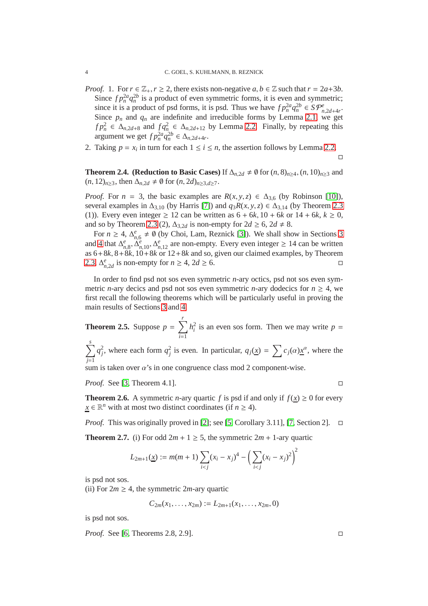- *Proof.* 1. For  $r \in \mathbb{Z}_+, r \geq 2$ , there exists non-negative  $a, b \in \mathbb{Z}$  such that  $r = 2a+3b$ . Since  $f p_n^2 q_n^{2b}$  is a product of even symmetric forms, it is even and symmetric; since it is a product of psd forms, it is psd. Thus we have  $fp_n^2 q_n^{2b} \in S \mathcal{P}_{n,2d+4r}^e$ . Since  $p_n$  and  $q_n$  are indefinite and irreducible forms by Lemma [2.1,](#page-1-1) we get  $f p_n^2 \in \Delta_{n,2d+8}$  and  $f q_n^2 \in \Delta_{n,2d+12}$  by Lemma [2.2.](#page-2-1) Finally, by repeating this argument we get  $fp_n^{2a}q_n^{2b} \in \Delta_{n,2d+4r}$ .
- 2. Taking  $p = x_i$  in turn for each  $1 \le i \le n$ , the assertion follows by Lemma [2.2.](#page-2-1)

 $\Box$ 

<span id="page-3-0"></span>**Theorem 2.4.** (Reduction to Basic Cases) If  $\Delta_{n,2d} \neq \emptyset$  for  $(n,8)_{n>4}$ ,  $(n,10)_{n>3}$  and  $(n, 12)_{n \geq 3}$ , then  $\Delta_{n,2d} \neq \emptyset$  for  $(n, 2d)_{n \geq 3, d \geq 7}$ .

*Proof.* For  $n = 3$ , the basic examples are  $R(x, y, z) \in \Delta_{3,6}$  (by Robinson [\[10\]](#page-10-7)), several examples in  $\Delta_{3,10}$  (by Harris [\[7\]](#page-10-3)) and  $q_3R(x, y, z) \in \Delta_{3,14}$  (by Theorem [2.3](#page-2-0) (1)). Every even integer  $\geq 12$  can be written as  $6 + 6k$ ,  $10 + 6k$  or  $14 + 6k$ ,  $k \geq 0$ , and so by Theorem [2.3](#page-2-0) (2),  $\Delta_{3,2d}$  is non-empty for  $2d \geq 6$ ,  $2d \neq 8$ .

For  $n \geq 4$ ,  $\Delta_{n,6}^e \neq \emptyset$  (by Choi, Lam, Reznick [\[3\]](#page-10-5)). We shall show in Sections [3](#page-4-0) and [4](#page-6-0) that  $\Delta_{n,8}^e$ ,  $\Delta_{n,10}^e$ ,  $\Delta_{n,12}^e$  are non-empty. Every even integer ≥ 14 can be written as 6+8*k*, 8+8*k*, 10+8*k* or 12+8*k* and so, given our claimed examples, by Theorem [2.3,](#page-2-0)  $\Delta_{n,2d}^e$  is non-empty for *n* ≥ 4, 2*d* ≥ 6. □

In order to find psd not sos even symmetric *n*-ary octics, psd not sos even symmetric *n*-ary decics and psd not sos even symmetric *n*-ary dodecics for  $n \geq 4$ , we first recall the following theorems which will be particularly useful in proving the main results of Sections [3](#page-4-0) and [4.](#page-6-0)

<span id="page-3-2"></span>**Theorem 2.5.** Suppose  $p = \sum_{i=1}^{r}$ *i*=1  $h_i^2$  is an even sos form. Then we may write  $p =$ 

 $\sum^s$ *j*=1  $q_j^2$ , where each form  $q_j^2$  is even. In particular,  $q_j(\underline{x}) = \sum c_j(\alpha) \underline{x}^\alpha$ , where the

sum is taken over  $\alpha$ 's in one congruence class mod 2 component-wise.

*Proof.* See [\[3,](#page-10-5) Theorem 4.1]. □

**Theorem 2.6.** A symmetric *n*-ary quartic *f* is psd if and only if  $f(x) \ge 0$  for every *x* ∈  $\mathbb{R}^n$  with at most two distinct coordinates (if *n* ≥ 4).

*Proof.* This was originally proved in [\[2\]](#page-10-8); see [\[5,](#page-10-4) Corollary 3.11], [\[7,](#page-10-3) Section 2].  $\square$ 

<span id="page-3-1"></span>**Theorem 2.7.** (i) For odd  $2m + 1 \ge 5$ , the symmetric  $2m + 1$ -ary quartic

$$
L_{2m+1}(\underline{x}) := m(m+1) \sum_{i < j} (x_i - x_j)^4 - \left(\sum_{i < j} (x_i - x_j)^2\right)^2
$$

is psd not sos.

(ii) For  $2m \geq 4$ , the symmetric  $2m$ -ary quartic

$$
C_{2m}(x_1,\ldots,x_{2m}):=L_{2m+1}(x_1,\ldots,x_{2m},0)
$$

is psd not sos.

*Proof.* See [\[6,](#page-10-2) Theorems 2.8, 2.9]. □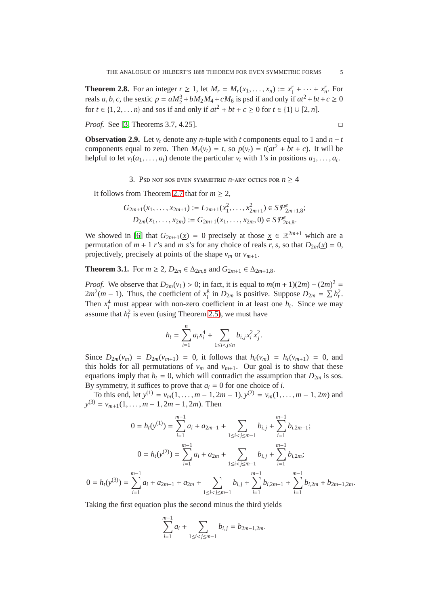<span id="page-4-2"></span>**Theorem 2.8.** For an integer  $r \ge 1$ , let  $M_r = M_r(x_1, ..., x_n) := x_1^r + ... + x_n^r$ . For reals *a*, *b*, *c*, the sextic  $p = aM_2^3 + bM_2M_4 + cM_6$  is psd if and only if  $at^2 + bt + c \ge 0$ for *t* ∈ {1, 2, . . . *n*} and sos if and only if  $at^2 + bt + c \ge 0$  for  $t \in \{1\} \cup [2, n]$ .

*Proof.* See [\[3,](#page-10-5) Theorems 3.7, 4.25]. □

**Observation 2.9.** Let  $v_t$  denote any *n*-tuple with *t* components equal to 1 and  $n - t$ components equal to zero. Then  $M_r(v_t) = t$ , so  $p(v_t) = t(at^2 + bt + c)$ . It will be helpful to let  $v_t(a_1, \ldots, a_t)$  denote the particular  $v_t$  with 1's in positions  $a_1, \ldots, a_t$ .

3. Psd not sos even symmetric *n*-ary octics for  $n \geq 4$ 

<span id="page-4-0"></span>It follows from Theorem [2.7](#page-3-1) that for  $m > 2$ ,

$$
G_{2m+1}(x_1,\ldots,x_{2m+1}) := L_{2m+1}(x_1^2,\ldots,x_{2m+1}^2) \in S\mathcal{P}_{2m+1,8}^e;
$$
  

$$
D_{2m}(x_1,\ldots,x_{2m}) := G_{2m+1}(x_1,\ldots,x_{2m},0) \in S\mathcal{P}_{2m,8}^e.
$$

We showed in [\[6\]](#page-10-2) that  $G_{2m+1}(\underline{x}) = 0$  precisely at those  $\underline{x} \in \mathbb{R}^{2m+1}$  which are a permutation of  $m + 1$  *r*'s and  $m$  *s*'s for any choice of reals *r*, *s*, so that  $D_{2m}(\chi) = 0$ , projectively, precisely at points of the shape  $v_m$  or  $v_{m+1}$ .

<span id="page-4-1"></span>**Theorem 3.1.** For *m* ≥ 2,  $D_{2m} \in \Delta_{2m,8}$  and  $G_{2m+1} \in \Delta_{2m+1,8}$ .

*Proof.* We observe that  $D_{2m}(v_1) > 0$ ; in fact, it is equal to  $m(m + 1)(2m) - (2m)^2 =$  $2m^2(m-1)$ . Thus, the coefficient of  $x_i^8$  in  $D_{2m}$  is positive. Suppose  $D_{2m} = \sum h_i^2$ . Then  $x_i^4$  must appear with non-zero coefficient in at least one  $h_t$ . Since we may assume that  $h_t^2$  is even (using Theorem [2.5\)](#page-3-2), we must have

$$
h_{t} = \sum_{i=1}^{n} a_{i} x_{i}^{4} + \sum_{1 \leq i < j \leq n} b_{i,j} x_{i}^{2} x_{j}^{2}.
$$

Since  $D_{2m}(v_m) = D_{2m}(v_{m+1}) = 0$ , it follows that  $h_t(v_m) = h_t(v_{m+1}) = 0$ , and this holds for all permutations of  $v_m$  and  $v_{m+1}$ . Our goal is to show that these equations imply that  $h_t = 0$ , which will contradict the assumption that  $D_{2m}$  is sos. By symmetry, it suffices to prove that  $a_i = 0$  for one choice of *i*.

To this end, let  $y^{(1)} = v_m(1, ..., m - 1, 2m - 1), y^{(2)} = v_m(1, ..., m - 1, 2m)$  and  $y^{(3)} = v_{m+1}(1, \ldots, m-1, 2m-1, 2m)$ . Then

$$
0 = h_t(y^{(1)}) = \sum_{i=1}^{m-1} a_i + a_{2m-1} + \sum_{1 \le i < j \le m-1} b_{i,j} + \sum_{i=1}^{m-1} b_{i,2m-1};
$$
\n
$$
0 = h_t(y^{(2)}) = \sum_{i=1}^{m-1} a_i + a_{2m} + \sum_{1 \le i < j \le m-1} b_{i,j} + \sum_{i=1}^{m-1} b_{i,2m};
$$
\n
$$
0 = h_t(y^{(3)}) = \sum_{i=1}^{m-1} a_i + a_{2m-1} + a_{2m} + \sum_{1 \le i < j \le m-1} b_{i,j} + \sum_{i=1}^{m-1} b_{i,2m-1} + \sum_{i=1}^{m-1} b_{i,2m} + b_{2m-1,2m}.
$$

Taking the first equation plus the second minus the third yields

$$
\sum_{i=1}^{m-1} a_i + \sum_{1 \le i < j \le m-1} b_{i,j} = b_{2m-1,2m}.
$$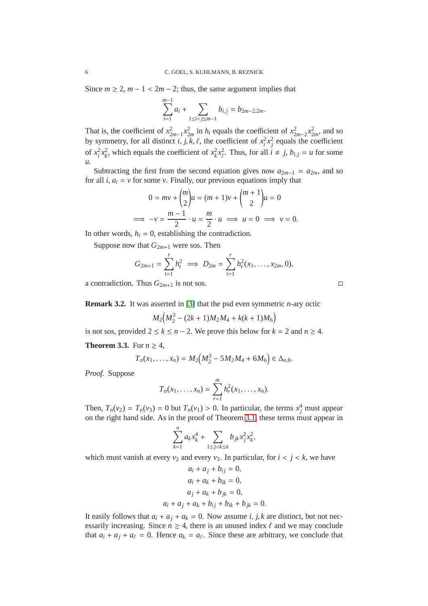Since  $m \ge 2$ ,  $m - 1 < 2m - 2$ ; thus, the same argument implies that

$$
\sum_{i=1}^{m-1} a_i + \sum_{1 \le i < j \le m-1} b_{i,j} = b_{2m-2,2m}.
$$

That is, the coefficient of  $x_{2m-1}^2 x_{2m}^2$  in  $h_t$  equals the coefficient of  $x_{2m-2}^2 x_{2m}^2$ , and so by symmetry, for all distinct *i*, *j*, *k*, *ℓ*, the coefficient of  $x_i^2 x_j^2$  equals the coefficient of  $x_i^2 x_k^2$ , which equals the coefficient of  $x_k^2 x_\ell^2$  $\frac{2}{\ell}$ . Thus, for all  $i \neq j$ ,  $b_{i,j} = u$  for some *u*.

Subtracting the first from the second equation gives now  $a_{2m-1} = a_{2m}$ , and so for all  $i$ ,  $a_i = v$  for some  $v$ . Finally, our previous equations imply that

$$
0 = mv + {m \choose 2}u = (m+1)v + {m+1 \choose 2}u = 0
$$
  
\n
$$
\implies -v = \frac{m-1}{2} \cdot u = \frac{m}{2} \cdot u \implies u = 0 \implies v = 0.
$$

In other words,  $h_t = 0$ , establishing the contradiction.

Suppose now that  $G_{2m+1}$  were sos. Then

$$
G_{2m+1} = \sum_{t=1}^r h_t^2 \implies D_{2m} = \sum_{t=1}^r h_t^2(x_1, \dots, x_{2m}, 0),
$$

a contradiction. Thus  $G_{2m+1}$  is not sos.

**Remark 3.2.** It was asserted in [\[3\]](#page-10-5) that the psd even symmetric *n*-ary octic

$$
M_2\big(M_2^3 - (2k+1)M_2M_4 + k(k+1)M_6\big)
$$

is not sos, provided  $2 \le k \le n - 2$ . We prove this below for  $k = 2$  and  $n \ge 4$ .

<span id="page-5-0"></span>**Theorem 3.3.** For  $n \geq 4$ ,

$$
T_n(x_1,\ldots,x_n)=M_2\big(M_2^3-5M_2M_4+6M_6\big)\in\Delta_{n,8}.
$$

*Proof.* Suppose

$$
T_n(x_1,\ldots,x_n) = \sum_{r=1}^m h_r^2(x_1,\ldots,x_n).
$$

Then,  $T_n(v_2) = T_n(v_3) = 0$  but  $T_n(v_1) > 0$ . In particular, the terms  $x_j^4$  must appear on the right hand side. As in the proof of Theorem [3.1,](#page-4-1) these terms must appear in

$$
\sum_{k=1}^{n} a_k x_k^4 + \sum_{1 \le j < k \le n} b_{jk} x_j^2 x_k^2,
$$

which must vanish at every  $v_2$  and every  $v_3$ . In particular, for  $i < j < k$ , we have

$$
a_i + a_j + b_{ij} = 0,
$$
  
\n
$$
a_i + a_k + b_{ik} = 0,
$$
  
\n
$$
a_j + a_k + b_{jk} = 0,
$$
  
\n
$$
a_i + a_j + a_k + b_{ij} + b_{ik} + b_{jk} = 0.
$$

It easily follows that  $a_i + a_j + a_k = 0$ . Now assume *i*, *j*, *k* are distinct, but not necessarily increasing. Since  $n \geq 4$ , there is an unused index  $\ell$  and we may conclude that  $a_i + a_j + a_\ell = 0$ . Hence  $a_k = a_\ell$ . Since these are arbitrary, we conclude that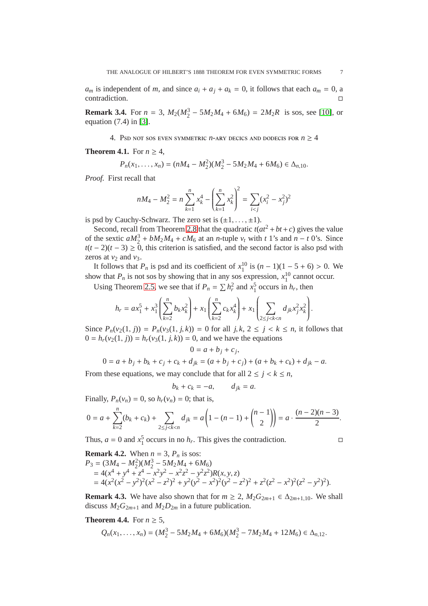*a<sub>m</sub>* is independent of *m*, and since  $a_i + a_j + a_k = 0$ , it follows that each  $a_m = 0$ , a contradiction.

<span id="page-6-0"></span>**Remark 3.4.** For  $n = 3$ ,  $M_2(M_2^3 - 5M_2M_4 + 6M_6) = 2M_2R$  is sos, see [\[10\]](#page-10-7), or equation (7.4) in [\[3\]](#page-10-5).

4. Psd not sos even symmetric  $n$ -ary decics and dodecis for  $n \geq 4$ 

<span id="page-6-1"></span>**Theorem 4.1.** For  $n \geq 4$ ,

$$
P_n(x_1,\ldots,x_n)=(nM_4-M_2^2)(M_2^3-5M_2M_4+6M_6)\in\Delta_{n,10}.
$$

*Proof.* First recall that

$$
nM_4 - M_2^2 = n \sum_{k=1}^n x_k^4 - \left(\sum_{k=1}^n x_k^2\right)^2 = \sum_{i < j} (x_i^2 - x_j^2)^2
$$

is psd by Cauchy-Schwarz. The zero set is  $(\pm 1, \ldots, \pm 1)$ .

Second, recall from Theorem [2.8](#page-4-2) that the quadratic  $t(at^2 + bt + c)$  gives the value of the sextic  $aM_2^3 + bM_2M_4 + cM_6$  at an *n*-tuple  $v_t$  with *t* 1's and  $n - t$  0's. Since  $t(t-2)(t-3) \ge 0$ , this criterion is satisfied, and the second factor is also psd with zeros at  $v_2$  and  $v_3$ .

It follows that  $P_n$  is psd and its coefficient of  $x_1^{10}$  is  $(n-1)(1-5+6) > 0$ . We show that  $P_n$  is not sos by showing that in any sos expression,  $x_1^{10}$  cannot occur.

Using Theorem [2.5,](#page-3-2) we see that if  $P_n = \sum h_r^2$  and  $x_1^5$  occurs in  $h_r$ , then

$$
h_r = ax_1^5 + x_1^3 \left( \sum_{k=2}^n b_k x_k^2 \right) + x_1 \left( \sum_{k=2}^n c_k x_k^4 \right) + x_1 \left( \sum_{2 \le j < k < n} d_{jk} x_j^2 x_k^2 \right).
$$

Since  $P_n(v_2(1, j)) = P_n(v_3(1, j, k)) = 0$  for all  $j, k, 2 \le j < k \le n$ , it follows that  $0 = h_r(v_2(1, j)) = h_r(v_3(1, j, k)) = 0$ , and we have the equations

$$
0 = a + b_j + c_j,
$$
  

$$
0 = a + b_j + b_k + c_j + c_k + d_{jk} = (a + b_j + c_j) + (a + b_k + c_k) + d_{jk} - a.
$$

From these equations, we may conclude that for all  $2 \leq j \leq k \leq n$ ,

$$
b_k + c_k = -a, \qquad d_{jk} = a.
$$

Finally,  $P_n(v_n) = 0$ , so  $h_r(v_n) = 0$ ; that is,

$$
0 = a + \sum_{k=2}^{n} (b_k + c_k) + \sum_{2 \le j < k < n} d_{jk} = a \left( 1 - (n-1) + \binom{n-1}{2} \right) = a \cdot \frac{(n-2)(n-3)}{2}.
$$

Thus,  $a = 0$  and  $x_1^5$  occurs in no  $h_r$ . This gives the contradiction.

**Remark 4.2.** When 
$$
n = 3
$$
,  $P_n$  is sos:  
\n
$$
P_3 = (3M_4 - M_2^2)(M_2^3 - 5M_2M_4 + 6M_6)
$$
\n
$$
= 4(x^4 + y^4 + z^4 - x^2y^2 - x^2z^2 - y^2z^2)R(x, y, z)
$$
\n
$$
= 4(x^2(x^2 - y^2)^2(x^2 - z^2)^2 + y^2(y^2 - x^2)^2(y^2 - z^2)^2 + z^2(z^2 - x^2)^2(z^2 - y^2)^2).
$$

**Remark 4.3.** We have also shown that for  $m \geq 2$ ,  $M_2G_{2m+1} \in \Delta_{2m+1,10}$ . We shall discuss  $M_2G_{2m+1}$  and  $M_2D_{2m}$  in a future publication.

# <span id="page-6-2"></span>**Theorem 4.4.** For  $n \geq 5$ ,

$$
Q_n(x_1,\ldots,x_n)=(M_2^3-5M_2M_4+6M_6)(M_2^3-7M_2M_4+12M_6)\in\Delta_{n,12}.
$$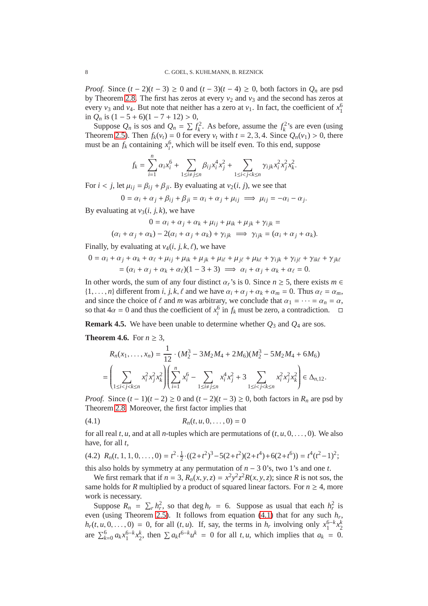*Proof.* Since  $(t - 2)(t - 3) \ge 0$  and  $(t - 3)(t - 4) \ge 0$ , both factors in  $Q_n$  are psd by Theorem [2.8.](#page-4-2) The first has zeros at every  $v_2$  and  $v_3$  and the second has zeros at every  $v_3$  and  $v_4$ . But note that neither has a zero at  $v_1$ . In fact, the coefficient of  $x_1^6$ in  $Q_n$  is  $(1 – 5 + 6)(1 – 7 + 12) > 0$ ,

Suppose  $Q_n$  is sos and  $Q_n = \sum f_k^2$ . As before, assume the  $f_k^2$ 's are even (using Theorem [2.5\)](#page-3-2). Then  $f_k(v_t) = 0$  for every  $v_t$  with  $t = 2, 3, 4$ . Since  $Q_n(v_1) > 0$ , there must be an  $f_k$  containing  $x_i^6$ , which will be itself even. To this end, suppose

$$
f_k=\sum_{i=1}^n\alpha_ix_i^6+\sum_{1\leq i\neq j\leq n}\beta_{ij}x_i^4x_j^2+\sum_{1\leq i
$$

For  $i < j$ , let  $\mu_{ij} = \beta_{ji} + \beta_{ji}$ . By evaluating at  $v_2(i, j)$ , we see that

$$
0 = \alpha_i + \alpha_j + \beta_{ij} + \beta_{ji} = \alpha_i + \alpha_j + \mu_{ij} \implies \mu_{ij} = -\alpha_i - \alpha_j.
$$

By evaluating at  $v_3(i, j, k)$ , we have

$$
0 = \alpha_i + \alpha_j + \alpha_k + \mu_{ij} + \mu_{ik} + \mu_{jk} + \gamma_{ijk} =
$$

$$
(\alpha_i + \alpha_j + \alpha_k) - 2(\alpha_i + \alpha_j + \alpha_k) + \gamma_{ijk} \implies \gamma_{ijk} = (\alpha_i + \alpha_j + \alpha_k).
$$

Finally, by evaluating at  $v_4(i, j, k, \ell)$ , we have

$$
0 = \alpha_i + \alpha_j + \alpha_k + \alpha_{\ell} + \mu_{ij} + \mu_{ik} + \mu_{jk} + \mu_{i\ell} + \mu_{j\ell} + \mu_{k\ell} + \gamma_{ijk} + \gamma_{ij\ell} + \gamma_{ik\ell} + \gamma_{jk\ell}
$$
  
= 
$$
(\alpha_i + \alpha_j + \alpha_k + \alpha_{\ell})(1 - 3 + 3) \implies \alpha_i + \alpha_j + \alpha_k + \alpha_{\ell} = 0.
$$

In other words, the sum of any four distinct  $\alpha_r$ 's is 0. Since  $n \geq 5$ , there exists  $m \in$  $\{1, \ldots, n\}$  different from *i*, *j*, *k*,  $\ell$  and we have  $\alpha_i + \alpha_j + \alpha_k + \alpha_m = 0$ . Thus  $\alpha_\ell = \alpha_m$ , and since the choice of  $\ell$  and *m* was arbitrary, we conclude that  $\alpha_1 = \cdots = \alpha_n = \alpha$ , so that  $4\alpha = 0$  and thus the coefficient of  $x_i^6$  in  $f_k$  must be zero, a contradiction.  $\Box$ 

**Remark 4.5.** We have been unable to determine whether *Q*<sup>3</sup> and *Q*<sup>4</sup> are sos.

<span id="page-7-2"></span>**Theorem 4.6.** For  $n \geq 3$ ,

$$
R_n(x_1, \ldots, x_n) = \frac{1}{12} \cdot (M_2^3 - 3M_2M_4 + 2M_6)(M_2^3 - 5M_2M_4 + 6M_6)
$$
  
= 
$$
\left( \sum_{1 \le i < j < k \le n} x_i^2 x_j^2 x_k^2 \right) \left( \sum_{i=1}^n x_i^6 - \sum_{1 \le i \ne j \le n} x_i^4 x_j^2 + 3 \sum_{1 \le i < j < k \le n} x_i^2 x_j^2 x_k^2 \right) \in \Delta_{n, 12}.
$$

*Proof.* Since  $(t-1)(t-2) \ge 0$  and  $(t-2)(t-3) \ge 0$ , both factors in  $R_n$  are psd by Theorem [2.8.](#page-4-2) Moreover, the first factor implies that

<span id="page-7-0"></span>(4.1) 
$$
R_n(t, u, 0, \dots, 0) = 0
$$

for all real *t*, *u*, and at all *n*-tuples which are permutations of  $(t, u, 0, \ldots, 0)$ . We also have, for all *t*,

<span id="page-7-1"></span>
$$
(4.2) R_n(t, 1, 1, 0, \ldots, 0) = t^2 \cdot \frac{1}{2} \cdot ((2+t^2)^3 - 5(2+t^2)(2+t^4) + 6(2+t^6)) = t^4(t^2 - 1)^2;
$$

this also holds by symmetry at any permutation of  $n - 30$ 's, two 1's and one *t*.

We first remark that if  $n = 3$ ,  $R_n(x, y, z) = x^2 y^2 z^2 R(x, y, z)$ ; since *R* is not sos, the same holds for *R* multiplied by a product of squared linear factors. For  $n \geq 4$ , more work is necessary.

Suppose  $R_n = \sum_r h_r^2$ , so that deg  $h_r = 6$ . Suppose as usual that each  $h_r^2$  is even (using Theorem [2.5\)](#page-3-2). It follows from equation [\(4.1\)](#page-7-0) that for any such *h<sup>r</sup>* ,  $h_r(t, u, 0, \ldots, 0) = 0$ , for all  $(t, u)$ . If, say, the terms in  $h_r$  involving only  $x_1^{6-k} x_2^k$ are  $\sum_{k=0}^{6} a_k x_1^{6-k} x_2^k$ , then  $\sum a_k t^{6-k} u^k = 0$  for all *t*, *u*, which implies that  $a_k = 0$ .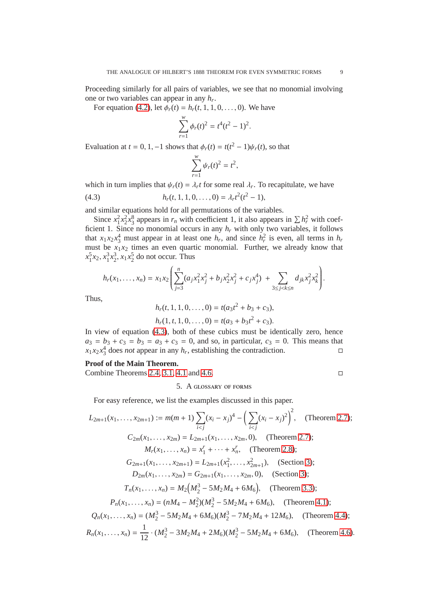Proceeding similarly for all pairs of variables, we see that no monomial involving one or two variables can appear in any *h<sup>r</sup>* .

For equation [\(4.2\)](#page-7-1), let  $\phi_r(t) = h_r(t, 1, 1, 0, \dots, 0)$ . We have

$$
\sum_{r=1}^{w} \phi_r(t)^2 = t^4 (t^2 - 1)^2.
$$

Evaluation at *t* = 0, 1, -1 shows that  $\phi_r(t) = t(t^2 - 1)\psi_r(t)$ , so that

<span id="page-8-1"></span>
$$
\sum_{r=1}^w \psi_r(t)^2 = t^2,
$$

which in turn implies that  $\psi_r(t) = \lambda_r t$  for some real  $\lambda_r$ . To recapitulate, we have

(4.3)  $h_r(t, 1, 1, 0, \ldots, 0) = \lambda_r t^2 (t^2 - 1),$ 

and similar equations hold for all permutations of the variables.

Since  $x_1^2 x_2^2 x_3^8$  appears in  $r_n$  with coefficient 1, it also appears in  $\sum h_r^2$  with coefficient 1. Since no monomial occurs in any  $h_r$  with only two variables, it follows that  $x_1 x_2 x_3^4$  must appear in at least one  $h_r$ , and since  $h_r^2$  is even, all terms in  $h_r$ must be  $x_1 x_2$  times an even quartic monomial. Further, we already know that  $x_1^5x_2, x_1^3x_2^3, x_1x_2^5$  do not occur. Thus

$$
h_r(x_1,\ldots,x_n)=x_1x_2\left(\sum_{j=3}^n(a_jx_1^2x_j^2+b_jx_2^2x_j^2+c_jx_j^4)+\sum_{3\leq j
$$

Thus,

$$
h_r(t, 1, 1, 0, \dots, 0) = t(a_3t^2 + b_3 + c_3),
$$
  

$$
h_r(1, t, 1, 0, \dots, 0) = t(a_3 + b_3t^2 + c_3).
$$

In view of equation [\(4.3\)](#page-8-1), both of these cubics must be identically zero, hence  $a_3 = b_3 + c_3 = b_3 = a_3 + c_3 = 0$ , and so, in particular,  $c_3 = 0$ . This means that  $x_1 x_2 x_3^4$  does *not* appear in any *h<sub>r</sub>*, establishing the contradiction.

### **Proof of the Main Theorem.**

<span id="page-8-0"></span>Combine Theorems [2.4,](#page-3-0) [3.1,](#page-4-1) [4.1](#page-6-1) and [4.6.](#page-7-2)

5. A glossary of forms

For easy reference, we list the examples discussed in this paper.

$$
L_{2m+1}(x_1, ..., x_{2m+1}) := m(m+1) \sum_{i < j} (x_i - x_j)^4 - \left(\sum_{i < j} (x_i - x_j)^2\right)^2, \quad \text{(Theorem 2.7)};
$$
\n
$$
C_{2m}(x_1, ..., x_{2m}) = L_{2m+1}(x_1, ..., x_{2m}, 0), \quad \text{(Theorem 2.7)};
$$
\n
$$
M_r(x_1, ..., x_n) = x_1^r + \dots + x_n^r, \quad \text{(Theorem 2.8)};
$$
\n
$$
G_{2m+1}(x_1, ..., x_{2m+1}) = L_{2m+1}(x_1^2, ..., x_{2m+1}^2), \quad \text{(Section 3)};
$$
\n
$$
D_{2m}(x_1, ..., x_{2m}) = G_{2m+1}(x_1, ..., x_{2m}, 0), \quad \text{(Section 3)};
$$
\n
$$
T_n(x_1, ..., x_n) = M_2\left(M_2^3 - 5M_2M_4 + 6M_6\right), \quad \text{(Theorem 3.3)};
$$
\n
$$
P_n(x_1, ..., x_n) = (nM_4 - M_2^2)(M_2^3 - 5M_2M_4 + 6M_6), \quad \text{(Theorem 4.1)};
$$
\n
$$
Q_n(x_1, ..., x_n) = (M_2^3 - 5M_2M_4 + 6M_6)(M_2^3 - 7M_2M_4 + 12M_6), \quad \text{(Theorem 4.4)};
$$
\n
$$
R_n(x_1, ..., x_n) = \frac{1}{12} \cdot (M_2^3 - 3M_2M_4 + 2M_6)(M_2^3 - 5M_2M_4 + 6M_6), \quad \text{(Theorem 4.6)}.
$$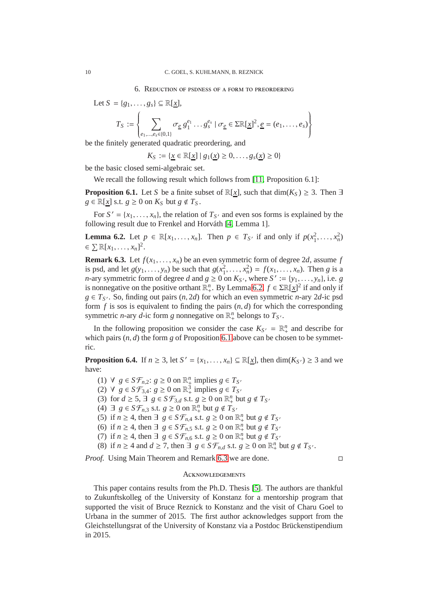<span id="page-9-0"></span>Let 
$$
S = \{g_1, \ldots, g_s\} \subseteq \mathbb{R}[\underline{x}],
$$
  
\n
$$
T_S := \begin{cases} \sum_{e_1, \ldots, e_s \in \{0, 1\}} \sigma_{\underline{e}} g_1^{e_1} \ldots g_s^{e_s} \mid \sigma_{\underline{e}} \in \Sigma \mathbb{R}[\underline{x}]^2, \underline{e} = (e_1, \ldots, e_s) \end{cases}
$$

be the finitely generated quadratic preordering, and

 $K_S := \{x \in \mathbb{R}[x] \mid g_1(x) \geq 0, \ldots, g_s(x) \geq 0\}$ 

be the basic closed semi-algebraic set.

We recall the following result which follows from [\[11,](#page-10-9) Proposition 6.1]:

<span id="page-9-2"></span>**Proposition 6.1.** Let *S* be a finite subset of  $\mathbb{R}[x]$ , such that  $\dim(K_S) \geq 3$ . Then  $\exists$ *g* ∈  $\mathbb{R}[x]$  s.t. *g* ≥ 0 on  $K_S$  but *g* ∉  $T_S$ .

For  $S' = \{x_1, \ldots, x_n\}$ , the relation of  $T_{S'}$  and even sos forms is explained by the following result due to Frenkel and Horváth [\[4,](#page-10-10) Lemma 1].

<span id="page-9-1"></span>**Lemma 6.2.** Let  $p \in \mathbb{R}[x_1, ..., x_n]$ . Then  $p \in T_{S'}$  if and only if  $p(x_1^2, ..., x_n^2)$  $\in \sum \mathbb{R}[x_1,\ldots,x_n]^2$ .

<span id="page-9-3"></span>**Remark 6.3.** Let  $f(x_1, \ldots, x_n)$  be an even symmetric form of degree 2*d*, assume *f* is psd, and let  $g(y_1, ..., y_n)$  be such that  $g(x_1^2, ..., x_n^2) = f(x_1, ..., x_n)$ . Then *g* is a *n*-ary symmetric form of degree *d* and  $g \ge 0$  on  $K_S$ , where  $S' := \{y_1, \ldots, y_n\}$ , i.e. *g* is nonnegative on the positive orthant  $\mathbb{R}^n_+$ . By Lemma [6.2,](#page-9-1)  $f \in \Sigma \mathbb{R}[x]^2$  if and only if  $g \in T_{S'}$ . So, finding out pairs  $(n, 2d)$  for which an even symmetric *n*-ary 2*d*-ic psd form  $f$  is sos is equivalent to finding the pairs  $(n, d)$  for which the corresponding symmetric *n*-ary *d*-ic form *g* nonnegative on  $\mathbb{R}^n_+$  belongs to  $T_{S'}$ .

In the following proposition we consider the case  $K_{S'} = \mathbb{R}^n_+$  and describe for which pairs  $(n, d)$  the form  $g$  of Proposition [6.1](#page-9-2) above can be chosen to be symmetric.

**Proposition 6.4.** If  $n \geq 3$ , let  $S' = \{x_1, \ldots, x_n\} \subseteq \mathbb{R}[\underline{x}]$ , then  $\dim(K_{S'}) \geq 3$  and we have:

(1) ∀ *g* ∈ *S* $\mathcal{F}_{n,2}$ : *g* ≥ 0 on  $\mathbb{R}^n_+$  implies *g* ∈ *T*<sub>*S*<sup>*i*</sup></sub>

(2) ∀  $g \in S\mathcal{F}_{3,4}: g \ge 0$  on  $\mathbb{R}^3_+$  implies  $g \in T_{S'}$ 

(3) for  $d \ge 5$ ,  $\exists g \in S \mathcal{F}_{3,d}$  s.t.  $g \ge 0$  on  $\mathbb{R}^n_+$  but  $g \notin T_{S'}$ 

(4) ∃ *g* ∈ *S* $\mathcal{F}_{n,3}$  s.t. *g* ≥ 0 on  $\mathbb{R}^n_+$  but *g* ∉ *T*<sub>*S*<sup>*i*</sup></sub>

(5) if  $n \geq 4$ , then  $\exists g \in S \mathcal{F}_{n,4}$  s.t.  $g \geq 0$  on  $\mathbb{R}^n_+$  but  $g \notin T_{S'}$ 

- (6) if  $n \geq 4$ , then  $\exists g \in S\mathcal{F}_{n,5}$  s.t.  $g \geq 0$  on  $\mathbb{R}_+^n$  but  $g \notin T_{S'}$
- (7) if  $n \geq 4$ , then  $\exists g \in S \mathcal{F}_{n,6}$  s.t.  $g \geq 0$  on  $\mathbb{R}^n_+$  but  $g \notin T_{S'}$
- (8) if  $n \ge 4$  and  $d \ge 7$ , then  $\exists g \in S\mathcal{F}_{n,d}$  s.t.  $g \ge 0$  on  $\mathbb{R}^n_+$  but  $g \notin T_{S'}$ .

*Proof.* Using Main Theorem and Remark [6.3](#page-9-3) we are done. □

 $\left\{\begin{array}{c} \end{array}\right\}$  $\int$ 

#### **ACKNOWLEDGEMENTS**

This paper contains results from the Ph.D. Thesis [\[5\]](#page-10-4). The authors are thankful to Zukunftskolleg of the University of Konstanz for a mentorship program that supported the visit of Bruce Reznick to Konstanz and the visit of Charu Goel to Urbana in the summer of 2015. The first author acknowledges support from the Gleichstellungsrat of the University of Konstanz via a Postdoc Brückenstipendium in 2015.